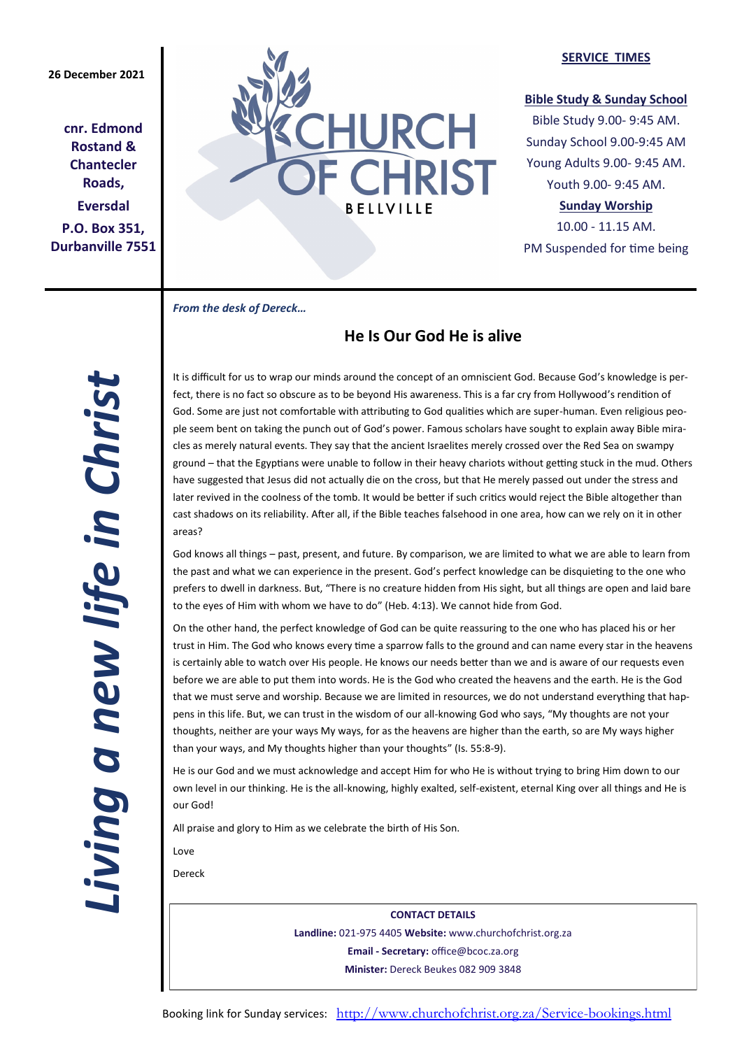**cnr. Edmond Rostand & Chantecler Roads, Eversdal P.O. Box 351, Durbanville 7551**



### **SERVICE TIMES**

## **Bible Study & Sunday School**

Bible Study 9.00- 9:45 AM. Sunday School 9.00-9:45 AM Young Adults 9.00- 9:45 AM. Youth 9.00- 9:45 AM.

## **Sunday Worship**

10.00 - 11.15 AM. PM Suspended for time being

*From the desk of Dereck…* 

# **He Is Our God He is alive**

*Living a new life in Christ*  Living a new life in Christ

It is difficult for us to wrap our minds around the concept of an omniscient God. Because God's knowledge is perfect, there is no fact so obscure as to be beyond His awareness. This is a far cry from Hollywood's rendition of God. Some are just not comfortable with attributing to God qualities which are super-human. Even religious people seem bent on taking the punch out of God's power. Famous scholars have sought to explain away Bible miracles as merely natural events. They say that the ancient Israelites merely crossed over the Red Sea on swampy ground – that the Egyptians were unable to follow in their heavy chariots without getting stuck in the mud. Others have suggested that Jesus did not actually die on the cross, but that He merely passed out under the stress and later revived in the coolness of the tomb. It would be better if such critics would reject the Bible altogether than cast shadows on its reliability. After all, if the Bible teaches falsehood in one area, how can we rely on it in other areas?

God knows all things – past, present, and future. By comparison, we are limited to what we are able to learn from the past and what we can experience in the present. God's perfect knowledge can be disquieting to the one who prefers to dwell in darkness. But, "There is no creature hidden from His sight, but all things are open and laid bare to the eyes of Him with whom we have to do" (Heb. 4:13). We cannot hide from God.

On the other hand, the perfect knowledge of God can be quite reassuring to the one who has placed his or her trust in Him. The God who knows every time a sparrow falls to the ground and can name every star in the heavens is certainly able to watch over His people. He knows our needs better than we and is aware of our requests even before we are able to put them into words. He is the God who created the heavens and the earth. He is the God that we must serve and worship. Because we are limited in resources, we do not understand everything that happens in this life. But, we can trust in the wisdom of our all-knowing God who says, "My thoughts are not your thoughts, neither are your ways My ways, for as the heavens are higher than the earth, so are My ways higher than your ways, and My thoughts higher than your thoughts" (Is. 55:8-9).

He is our God and we must acknowledge and accept Him for who He is without trying to bring Him down to our own level in our thinking. He is the all-knowing, highly exalted, self-existent, eternal King over all things and He is our God!

All praise and glory to Him as we celebrate the birth of His Son.

Love

Dereck

**CONTACT DETAILS Landline:** 021-975 4405 **Website:** www.churchofchrist.org.za **Email - Secretary:** office@bcoc.za.org **Minister:** Dereck Beukes 082 909 3848